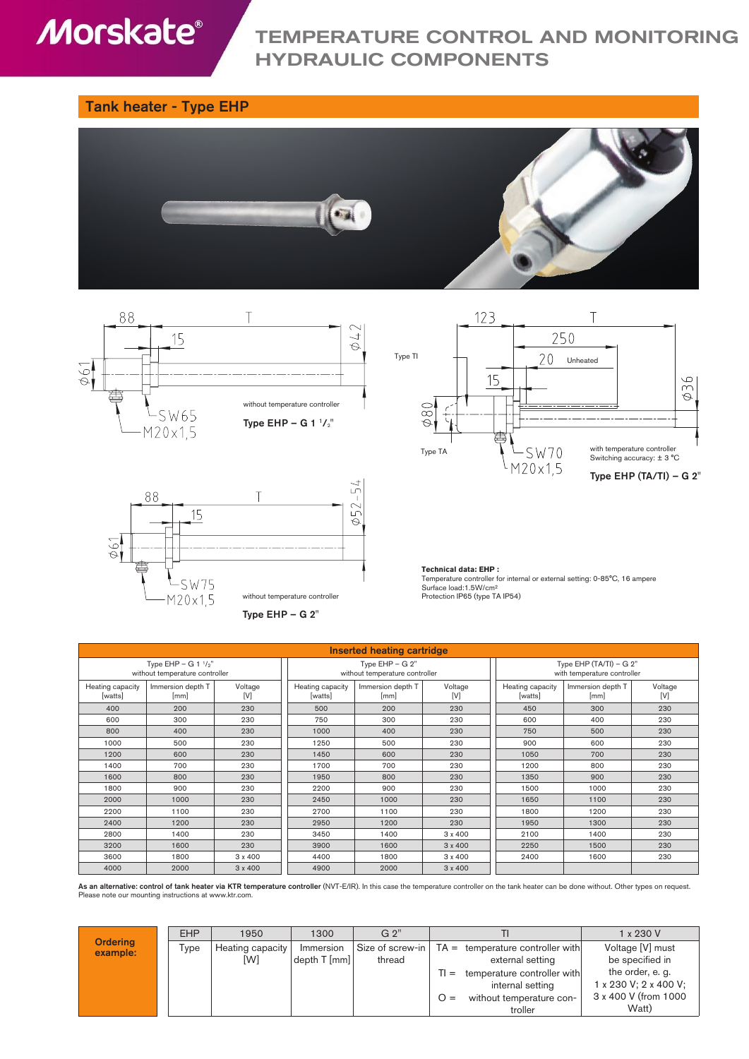# **Morskate®**

# TEMPERATURE CONTROL AND MONITORING HYDRAULIC COMPONENTS

### Tank heater - Type EHP









**Technical data: EHP :** Temperature controller for internal or external setting: 0-85°C, 16 ampere Surface load:1.5W/cm² Protection IP65 (type TA IP54)

| Inserted heating cartridge                               |                           |                |                                                     |                           |                |                                                          |                           |                |  |
|----------------------------------------------------------|---------------------------|----------------|-----------------------------------------------------|---------------------------|----------------|----------------------------------------------------------|---------------------------|----------------|--|
| Type EHP - G 1 $1/2$ "<br>without temperature controller |                           |                | Type $EHP - G 2"$<br>without temperature controller |                           |                | Type EHP $(TA/TI) - G 2"$<br>with temperature controller |                           |                |  |
| Heating capacity<br>[watts]                              | Immersion depth T<br>[mm] | Voltage<br>[V] | Heating capacity<br>[watts]                         | Immersion depth T<br>[mm] | Voltage<br>[V] | Heating capacity<br>[watts]                              | Immersion depth T<br>[mm] | Voltage<br>[V] |  |
| 400                                                      | 200                       | 230            | 500                                                 | 200                       | 230            | 450                                                      | 300                       | 230            |  |
| 600                                                      | 300                       | 230            | 750                                                 | 300                       | 230            | 600                                                      | 400                       | 230            |  |
| 800                                                      | 400                       | 230            | 1000                                                | 400                       | 230            | 750                                                      | 500                       | 230            |  |
| 1000                                                     | 500                       | 230            | 1250                                                | 500                       | 230            | 900                                                      | 600                       | 230            |  |
| 1200                                                     | 600                       | 230            | 1450                                                | 600                       | 230            | 1050                                                     | 700                       | 230            |  |
| 1400                                                     | 700                       | 230            | 1700                                                | 700                       | 230            | 1200                                                     | 800                       | 230            |  |
| 1600                                                     | 800                       | 230            | 1950                                                | 800                       | 230            | 1350                                                     | 900                       | 230            |  |
| 1800                                                     | 900                       | 230            | 2200                                                | 900                       | 230            | 1500                                                     | 1000                      | 230            |  |
| 2000                                                     | 1000                      | 230            | 2450                                                | 1000                      | 230            | 1650                                                     | 1100                      | 230            |  |
| 2200                                                     | 1100                      | 230            | 2700                                                | 1100                      | 230            | 1800                                                     | 1200                      | 230            |  |
| 2400                                                     | 1200                      | 230            | 2950                                                | 1200                      | 230            | 1950                                                     | 1300                      | 230            |  |
| 2800                                                     | 1400                      | 230            | 3450                                                | 1400                      | $3 \times 400$ | 2100                                                     | 1400                      | 230            |  |
| 3200                                                     | 1600                      | 230            | 3900                                                | 1600                      | $3 \times 400$ | 2250                                                     | 1500                      | 230            |  |
| 3600                                                     | 1800                      | $3 \times 400$ | 4400                                                | 1800                      | $3 \times 400$ | 2400                                                     | 1600                      | 230            |  |
| 4000                                                     | 2000                      | $3 \times 400$ | 4900                                                | 2000                      | $3 \times 400$ |                                                          |                           |                |  |

As an alternative: control of tank heater via KTR temperature controller (NVT-E/IR). In this case the temperature controller on the tank heater can be done without. Other types on request. Please note our mounting instructions at www.ktr.com.

| <b>Ordering</b><br>example: | <b>EHP</b> | 1950             | 1300                               | G 2"   |       |                                                      | 1 x 230 V             |
|-----------------------------|------------|------------------|------------------------------------|--------|-------|------------------------------------------------------|-----------------------|
|                             | Type       | Heating capacity | Immersion                          |        |       | Size of screw-in $ TA =$ temperature controller with | Voltage [V] must      |
|                             |            | [W]              | $\left \text{depth T [mm]}\right $ | thread |       | external setting                                     | be specified in       |
|                             |            |                  |                                    |        | $T =$ | temperature controller with                          | the order, e. g.      |
|                             |            |                  |                                    |        |       | internal setting                                     | 1 x 230 V; 2 x 400 V; |
|                             |            |                  |                                    |        | $Q =$ | without temperature con-                             | 3 x 400 V (from 1000  |
|                             |            |                  |                                    |        |       | troller                                              | Watt)                 |